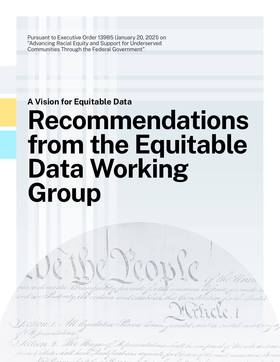Pursuant to Executive Order 13985 (January 20, 2021) on "Advancing Racial Equity and Support for Underserved Communities Through the Federal Government"

# **A Vision for Equitable Data**

# **Recommendations from the Equitable Data Working Group**

labti

requisite for Oledors of th

legistative Powers h

Representativ

Hateshall have.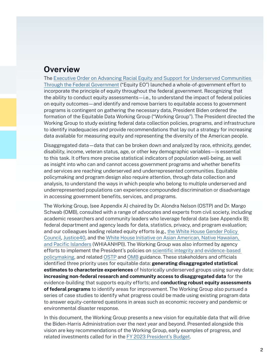# **Overview**

The [Executive Order on Advancing Racial Equity and Support for Underserved Communities](https://www.whitehouse.gov/briefing-room/presidential-actions/2021/01/20/executive-order-advancing-racial-equity-and-support-for-underserved-communities-through-the-federal-government/)  [Through the Federal Government](https://www.whitehouse.gov/briefing-room/presidential-actions/2021/01/20/executive-order-advancing-racial-equity-and-support-for-underserved-communities-through-the-federal-government/) ("Equity EO") launched a whole-of-government effort to incorporate the principle of equity throughout the federal government. Recognizing that the ability to conduct equity assessments—i.e., to understand the impact of federal policies on equity outcomes—and identify and remove barriers to equitable access to government programs is contingent on gathering the necessary data, President Biden ordered the formation of the Equitable Data Working Group ("Working Group"). The President directed the Working Group to study existing federal data collection policies, programs, and infrastructure to identify inadequacies and provide recommendations that lay out a strategy for increasing data available for measuring equity and representing the diversity of the American people.

Disaggregated data—data that can be broken down and analyzed by race, ethnicity, gender, disability, income, veteran status, age, or other key demographic variables—is essential to this task. It offers more precise statistical indicators of population well-being, as well as insight into who can and cannot access government programs and whether benefits and services are reaching underserved and underrepresented communities. Equitable policymaking and program design also require attention, through data collection and analysis, to understand the ways in which people who belong to multiple underserved and underrepresented populations can experience compounded discrimination or disadvantage in accessing government benefits, services, and programs.

The Working Group, (see Appendix A) chaired by Dr. Alondra Nelson (OSTP) and Dr. Margo Schwab (OMB), consulted with a range of advocates and experts from civil society, including academic researchers and community leaders who leverage federal data (see Appendix B); federal department and agency leads for data, statistics, privacy, and program evaluation; and our colleagues leading related equity efforts (e.g., [the White House Gender Policy](https://www.whitehouse.gov/briefing-room/presidential-actions/2021/03/08/executive-order-on-establishment-of-the-white-house-gender-policy-council/)  [Council,](https://www.whitehouse.gov/briefing-room/presidential-actions/2021/03/08/executive-order-on-establishment-of-the-white-house-gender-policy-council/) [Justice40,](https://www.whitehouse.gov/briefing-room/statements-releases/2021/01/27/fact-sheet-president-biden-takes-executive-actions-to-tackle-the-climate-crisis-at-home-and-abroad-create-jobs-and-restore-scientific-integrity-across-federal-government/) and the [White House Initiative on Asian American, Native Hawaiian,](https://www.hhs.gov/about/whiaanhpi/index.html)  [and Pacific Islanders](https://www.hhs.gov/about/whiaanhpi/index.html) (WHIAANHPI)). The Working Group was also informed by agency efforts to implement the President's policies on [scientific integrity and evidence-based](https://www.whitehouse.gov/briefing-room/presidential-actions/2021/01/27/memorandum-on-restoring-trust-in-government-through-scientific-integrity-and-evidence-based-policymaking/)  [policymaking,](https://www.whitehouse.gov/briefing-room/presidential-actions/2021/01/27/memorandum-on-restoring-trust-in-government-through-scientific-integrity-and-evidence-based-policymaking/) and related [OSTP](https://www.whitehouse.gov/ostp/nstc/scientific-integrity-task-force/) and [OMB](https://www.whitehouse.gov/wp-content/uploads/2021/06/M-21-27.pdf) guidance. These stakeholders and officials identified three priority uses for equitable data: **generating disaggregated statistical estimates to characterize experiences** of historically underserved groups using survey data; **increasing non-federal research and community access to disaggregated data** for the evidence-building that supports equity efforts; and **conducting robust equity assessments of federal programs** to identify areas for improvement. The Working Group also pursued a series of case studies to identify what progress could be made using existing program data to answer equity-centered questions in areas such as economic recovery and pandemic or environmental disaster response.

In this document, the Working Group presents a new vision for equitable data that will drive the Biden-Harris Administration over the next year and beyond. Presented alongside this vision are key recommendations of the Working Group, early examples of progress, and related investments called for in the [FY 2023 President's Budget](https://www.whitehouse.gov/omb/budget/).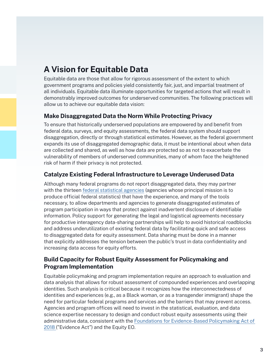# **A Vision for Equitable Data**

Equitable data are those that allow for rigorous assessment of the extent to which government programs and policies yield consistently fair, just, and impartial treatment of all individuals. Equitable data illuminate opportunities for targeted actions that will result in demonstrably improved outcomes for underserved communities. The following practices will allow us to achieve our equitable data vision:

# **Make Disaggregated Data the Norm While Protecting Privacy**

To ensure that historically underserved populations are empowered by and benefit from federal data, surveys, and equity assessments, the federal data system should support disaggregation, directly or through statistical estimates. However, as the federal government expands its use of disaggregated demographic data, it must be intentional about when data are collected and shared, as well as how data are protected so as not to exacerbate the vulnerability of members of underserved communities, many of whom face the heightened risk of harm if their privacy is not protected.

# **Catalyze Existing Federal Infrastructure to Leverage Underused Data**

Although many federal programs do not report disaggregated data, they may partner with the thirteen [federal statistical agencies](https://www.whitehouse.gov/omb/information-regulatory-affairs/statistical-programs-standards/) (agencies whose principal mission is to produce official federal statistics) that have the experience, and many of the tools necessary, to allow departments and agencies to generate disaggregated estimates of program participation in ways that protect against inadvertent disclosure of identifiable information. Policy support for generating the legal and logistical agreements necessary for productive interagency data-sharing partnerships will help to avoid historical roadblocks and address underutilization of existing federal data by facilitating quick and safe access to disaggregated data for equity assessment. Data sharing must be done in a manner that explicitly addresses the tension between the public's trust in data confidentiality and increasing data access for equity efforts.

# **Build Capacity for Robust Equity Assessment for Policymaking and Program Implementation**

Equitable policymaking and program implementation require an approach to evaluation and data analysis that allows for robust assessment of compounded experiences and overlapping identities. Such analysis is critical because it recognizes how the interconnectedness of identities and experiences (e.g., as a Black woman, or as a transgender immigrant) shape the need for particular federal programs and services and the barriers that may prevent access. Agencies and program offices will need to invest in the statistical, evaluation, and data science expertise necessary to design and conduct robust equity assessments using their administrative data, consistent with the [Foundations for Evidence-Based Policymaking Act of](https://www.congress.gov/bill/115th-congress/house-bill/4174/text)  [2018](https://www.congress.gov/bill/115th-congress/house-bill/4174/text) ("Evidence Act") and the Equity EO.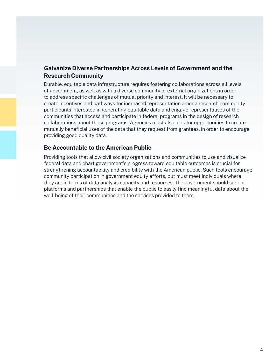# **Galvanize Diverse Partnerships Across Levels of Government and the Research Community**

Durable, equitable data infrastructure requires fostering collaborations across all levels of government, as well as with a diverse community of external organizations in order to address specific challenges of mutual priority and interest. It will be necessary to create incentives and pathways for increased representation among research community participants interested in generating equitable data and engage representatives of the communities that access and participate in federal programs in the design of research collaborations about those programs. Agencies must also look for opportunities to create mutually beneficial uses of the data that they request from grantees, in order to encourage providing good quality data.

# **Be Accountable to the American Public**

Providing tools that allow civil society organizations and communities to use and visualize federal data and chart government's progress toward equitable outcomes is crucial for strengthening accountability and credibility with the American public. Such tools encourage community participation in government equity efforts, but must meet individuals where they are in terms of data analysis capacity and resources. The government should support platforms and partnerships that enable the public to easily find meaningful data about the well-being of their communities and the services provided to them.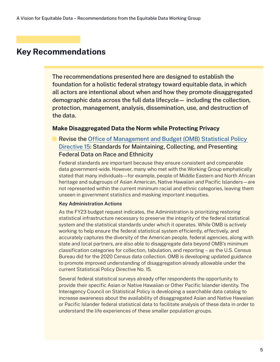The recommendations presented here are designed to establish the foundation for a holistic federal strategy toward equitable data, in which all actors are intentional about when and how they promote disaggregated demographic data across the full data lifecycle— including the collection, protection, management, analysis, dissemination, use, and destruction of the data.

## **Make Disaggregated Data the Norm while Protecting Privacy**

Revise the [Office of Management and Budget \(OMB\) Statistical Policy](https://www.govinfo.gov/content/pkg/FR-1997-10-30/pdf/97-28653.pdf)  [Directive 15](https://www.govinfo.gov/content/pkg/FR-1997-10-30/pdf/97-28653.pdf): Standards for Maintaining, Collecting, and Presenting Federal Data on Race and Ethnicity

Federal standards are important because they ensure consistent and comparable data government-wide. However, many who met with the Working Group emphatically stated that many individuals—for example, people of Middle Eastern and North African heritage and subgroups of Asian American, Native Hawaiian and Pacific Islanders—are not represented within the current minimum racial and ethnic categories, leaving them unseen in government statistics and masking important inequities.

#### **Key Administration Actions**

As the FY23 budget request indicates, the Administration is prioritizing restoring statistical infrastructure necessary to preserve the integrity of the federal statistical system and the statistical standards under which it operates. While OMB is actively working to help ensure the federal statistical system efficiently, effectively, and accurately captures the diversity of the American people, federal agencies, along with state and local partners, are also able to disaggregate data beyond OMB's minimum classification categories for collection, tabulation, and reporting – as the U.S. Census Bureau did for the 2020 Census data collection. OMB is developing updated guidance to promote improved understanding of disaggregation already allowable under the current Statistical Policy Directive No. 15.

Several federal statistical surveys already offer respondents the opportunity to provide their specific Asian or Native Hawaiian or Other Pacific Islander identity. The Interagency Council on Statistical Policy is developing a searchable data catalog to increase awareness about the availability of disaggregated Asian and Native Hawaiian or Pacific Islander federal statistical data to facilitate analysis of these data in order to understand the life experiences of these smaller population groups.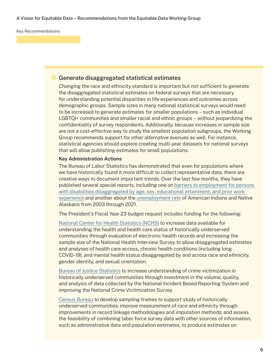## Generate disaggregated statistical estimates

Changing the race and ethnicity standard is important but not sufficient to generate the disaggregated statistical estimates on federal surveys that are necessary for understanding potential disparities in life experiences and outcomes across demographic groups. Sample sizes in many national statistical surveys would need to be increased to generate estimates for smaller populations – such as individual LGBTQI+ communities and smaller racial and ethnic groups – without jeopardizing the confidentiality of survey respondents. Additionally, because increases in sample size are not a cost-effective way to study the smallest population subgroups, the Working Group recommends support for other alternative avenues as well. For instance, statistical agencies should explore creating multi-year datasets for national surveys that will allow publishing estimates for small populations.

#### **Key Administration Actions**

The Bureau of Labor Statistics has demonstrated that even for populations where we have historically found it more difficult to collect representative data, there are creative ways to document important trends. Over the last few months, they have published several special reports, including one on [barriers to employment for persons](https://www.bls.gov/news.release/dissup.nr0.htm)  [with disabilities disaggregated by age, sex, educational attainment, and prior work](https://www.bls.gov/news.release/dissup.nr0.htm)  [experience](https://www.bls.gov/news.release/dissup.nr0.htm) and another about the [unemployment rate](https://www.bls.gov/opub/ted/2022/unemployment-rate-for-american-indians-and-alaska-natives-at-7-9-percent-in-december-2021.htm) of American Indians and Native Alaskans from 2003 through 2021.

The President's Fiscal Year 23 budget request includes funding for the following:

[National Center for Health Statistics \(NCHS\)](http://cdc.gov/budget/documents/fy2023/FY-2023-CDC-congressional-justification.pdf) to increase data available for understanding the health and health care status of historically underserved communities through evaluation of electronic health records and increasing the sample size of the National Health Interview Survey to allow disaggregated estimates and analyses of health care access, chronic health conditions (including long COVID-19), and mental health status disaggregated by and across race and ethnicity, gender identity, and sexual orientation.

[Bureau of Justice Statistics](https://www.whitehouse.gov/wp-content/uploads/2022/03/ap_15_statistics_fy2023.pdf) to increase understanding of crime victimization in historically underserved communities through investment in the volume, quality, and analysis of data collected by the National Incident Based Reporting System and improving the National Crime Victimization Survey.

[Census Bureau](https://www.commerce.gov/sites/default/files/2022-03/FY2023-Census-Congressional-Budget-Submission.pdf) to develop sampling frames to support study of historically underserved communities; improve measurement of race and ethnicity through improvements in record linkage methodologies and imputation methods; and assess the feasibility of combining labor force survey data with other sources of information, such as administrative data and population estimates, to produce estimates on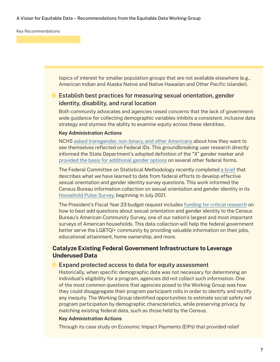topics of interest for smaller population groups that are not available elsewhere (e.g., American Indian and Alaska Native and Native Hawaiian and Other Pacific Islander).

# Establish best practices for measuring sexual orientation, gender identity, disability, and rural location

Both community advocates and agencies raised concerns that the lack of governmentwide guidance for collecting demographic variables inhibits a consistent, inclusive data strategy and stymies the ability to examine equity across these identities.

#### **Key Administration Actions**

NCHS [asked transgender, non-binary, and other Americans](https://wwwn.cdc.gov/QBank/Report.aspx?1225) about how they want to see themselves reflected on Federal IDs. This groundbreaking user research directly informed the State Department's adopted definition of the "X" gender marker and [provided the basis for additional gender options](https://www.whitehouse.gov/briefing-room/statements-releases/2022/03/31/fact-sheet-biden-harris-administration-advances-equality-and-visibility-for-transgender-americans/) on several other federal forms.

The Federal Committee on Statistical Methodology recently completed [a brief](https://nces.ed.gov/FCSM/pdf/FCSM_21_01_062221.pdf) that describes what we have learned to date from federal efforts to develop effective sexual orientation and gender identity survey questions. This work informed the Census Bureau information collection on sexual orientation and gender identity in its [Household Pulse Survey,](https://www.census.gov/library/stories/2021/08/household-pulse-survey-updates-sex-question-now-asks-sexual-orientation-and-gender-identity.html) beginning in July 2021.

The President's Fiscal Year 23 budget request includes [funding for critical research](https://www.commerce.gov/sites/default/files/2022-03/FY2023-Census-Congressional-Budget-Submission.pdf) on how to best add questions about sexual orientation and gender identity to the Census Bureau's American Community Survey, one of our nation's largest and most important surveys of American households. This data collection will help the federal government better serve the LGBTQI+ community by providing valuable information on their jobs, educational attainment, home ownership, and more.

# **Catalyze Existing Federal Government Infrastructure to Leverage Underused Data**

#### Expand protected access to data for equity assessment

Historically, when specific demographic data was not necessary for determining an individual's eligibility for a program, agencies did not collect such information. One of the most common questions that agencies posed to the Working Group was how they could disaggregate their program participant rolls in order to identify and rectify any inequity. The Working Group identified opportunities to estimate social safety net program participation by demographic characteristics, while preserving privacy, by matching existing federal data, such as those held by the Census.

#### **Key Administration Actions**

Through its case study on Economic Impact Payments (EIPs) that provided relief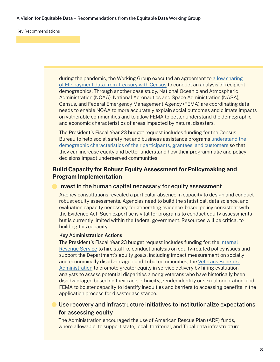#### A Vision for Equitable Data – Recommendations from the Equitable Data Working Group

Key Recommendations

during the pandemic, the Working Group executed an agreement to [allow sharing](https://home.treasury.gov/news/featured-stories/advancing-equity-analysis-in-tax-policy)  [of EIP payment data from Treasury with Census](https://home.treasury.gov/news/featured-stories/advancing-equity-analysis-in-tax-policy) to conduct an analysis of recipient demographics. Through another case study, National Oceanic and Atmospheric Administration (NOAA), National Aeronautics and Space Administration (NASA), Census, and Federal Emergency Management Agency (FEMA) are coordinating data needs to enable NOAA to more accurately explain social outcomes and climate impacts on vulnerable communities and to allow FEMA to better understand the demographic and economic characteristics of areas impacted by natural disasters.

The President's Fiscal Year 23 budget request includes funding for the Census Bureau to help social safety net and business assistance programs [understand the](https://www.whitehouse.gov/wp-content/uploads/2022/03/ap_15_statistics_fy2023.pdf)  [demographic characteristics of their participants, grantees, and customers](https://www.whitehouse.gov/wp-content/uploads/2022/03/ap_15_statistics_fy2023.pdf) so that they can increase equity and better understand how their programmatic and policy decisions impact underserved communities.

# **Build Capacity for Robust Equity Assessment for Policymaking and Program Implementation**

#### Invest in the human capital necessary for equity assessment

Agency consultations revealed a particular absence in capacity to design and conduct robust equity assessments. Agencies need to build the statistical, data science, and evaluation capacity necessary for generating evidence-based policy consistent with the Evidence Act. Such expertise is vital for programs to conduct equity assessments but is currently limited within the federal government. Resources will be critical to building this capacity.

#### **Key Administration Actions**

The President's Fiscal Year 23 budget request includes funding for: the [Internal](https://home.treasury.gov/system/files/266/COMBINED-CJ-Web-Version-FY-2023.pdf)  [Revenue Service](https://home.treasury.gov/system/files/266/COMBINED-CJ-Web-Version-FY-2023.pdf) to hire staff to conduct analysis on equity-related policy issues and support the Department's equity goals, including impact measurement on socially and economically disadvantaged and Tribal communities; the Veterans Benefits [Administration](https://www.va.gov/budget/docs/summary/fy2023-va-budget-volume-iii-burial-and-benefits-programs-and-deptmental-administration.pdf) to promote greater equity in service delivery by hiring evaluation analysts to assess potential disparities among veterans who have historically been disadvantaged based on their race, ethnicity, gender identity or sexual orientation; and FEMA to bolster capacity to identify inequities and barriers to accessing benefits in the application process for disaster assistance.

# Use recovery and infrastructure initiatives to institutionalize expectations for assessing equity

The Administration encouraged the use of American Rescue Plan (ARP) funds, where allowable, to support state, local, territorial, and Tribal data infrastructure,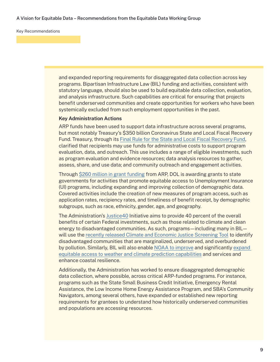and expanded reporting requirements for disaggregated data collection across key programs. Bipartisan Infrastructure Law (BIL) funding and activities, consistent with statutory language, should also be used to build equitable data collection, evaluation, and analysis infrastructure. Such capabilities are critical for ensuring that projects benefit underserved communities and create opportunities for workers who have been systemically excluded from such employment opportunities in the past.

#### **Key Administration Actions**

ARP funds have been used to support data infrastructure across several programs, but most notably Treasury's \$350 billion Coronavirus State and Local Fiscal Recovery Fund. Treasury, through its [Final Rule for the State and Local Fiscal Recovery Fund](https://home.treasury.gov/system/files/136/SLFRF-Final-Rule-Overview.pdf), clarified that recipients may use funds for administrative costs to support program evaluation, data, and outreach. This use includes a range of eligible investments, such as program evaluation and evidence resources; data analysis resources to gather, assess, share, and use data; and community outreach and engagement activities.

Through [\\$260 million in grant funding](https://wdr.doleta.gov/directives/attach/UIPL/UIPL_23-21.pdf) from ARP, DOL is awarding grants to state governments for activities that promote equitable access to Unemployment Insurance (UI) programs, including expanding and improving collection of demographic data. Covered activities include the creation of new measures of program access, such as application rates, recipiency rates, and timeliness of benefit receipt, by demographic subgroups, such as race, ethnicity, gender, age, and geography.

The Administration's [Justice40](https://www.whitehouse.gov/omb/briefing-room/2021/07/20/the-path-to-achieving-justice40/) Initiative aims to provide 40 percent of the overall benefits of certain Federal investments, such as those related to climate and clean energy to disadvantaged communities. As such, programs—including many in BIL will use the [recently released Climate and Economic Justice Screening Tool](https://www.whitehouse.gov/ceq/news-updates/2022/02/18/ceq-publishes-draft-climate-and-economic-justice-screening-tool-key-component-in-the-implementation-of-president-bidens-justice40-initiative/) to identify disadvantaged communities that are marginalized, underserved, and overburdened by pollution. Similarly, BIL will also enable [NOAA to improve](https://www.commerce.gov/sites/default/files/2022-04/DOC-Equity-Action-Plan.pdf) and significantly expand [equitable access to weather and climate prediction capabilities](https://www.commerce.gov/sites/default/files/2022-04/DOC-Equity-Action-Plan.pdf) and services and enhance coastal resilience.

Additionally, the Administration has worked to ensure disaggregated demographic data collection, where possible, across critical ARP-funded programs. For instance, programs such as the State Small Business Credit Initiative, Emergency Rental Assistance, the Low Income Home Energy Assistance Program, and SBA's Community Navigators, among several others, have expanded or established new reporting requirements for grantees to understand how historically underserved communities and populations are accessing resources.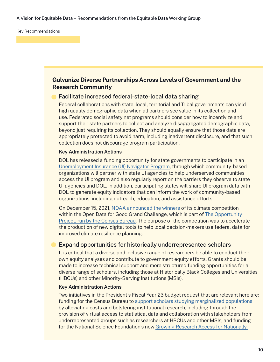# **Galvanize Diverse Partnerships Across Levels of Government and the Research Community**

## Facilitate increased federal-state-local data sharing

Federal collaborations with state, local, territorial and Tribal governments can yield high quality demographic data when all partners see value in its collection and use. Federated social safety net programs should consider how to incentivize and support their state partners to collect and analyze disaggregated demographic data, beyond just requiring its collection. They should equally ensure that those data are appropriately protected to avoid harm, including inadvertent disclosure, and that such collection does not discourage program participation.

#### **Key Administration Actions**

DOL has released a funding opportunity for state governments to participate in an [Unemployment Insurance \(UI\) Navigator Program](https://blog.dol.gov/2022/01/31/5-facts-about-unemployment-insurance-navigator-grants), through which community-based organizations will partner with state UI agencies to help underserved communities access the UI program and also regularly report on the barriers they observe to state UI agencies and DOL. In addition, participating states will share UI program data with DOL to generate equity indicators that can inform the work of community-based organizations, including outreach, education, and assistance efforts.

On December 15, 2021, [NOAA announced the winners](https://cpo.noaa.gov/News/ArtMID/7875/ArticleID/2443/NOAA-Census-award-50000-to-teams-building-data-solutions-to-climate-crisis) of its climate competition within the Open Data for Good Grand Challenge, which is part of [The Opportunity](https://www.noaa.gov/news-release/noaa-census-challenge-innovators-to-build-tools-to-tackle-climate-crisis)  [Project, run by the Census Bureau.](https://www.noaa.gov/news-release/noaa-census-challenge-innovators-to-build-tools-to-tackle-climate-crisis) The purpose of the competition was to accelerate the production of new digital tools to help local decision-makers use federal data for improved climate resilience planning.

# Expand opportunities for historically underrepresented scholars

It is critical that a diverse and inclusive range of researchers be able to conduct their own equity analyses and contribute to government equity efforts. Grants should be made to increase technical support and more structured funding opportunities for a diverse range of scholars, including those at Historically Black Colleges and Universities (HBCUs) and other Minority-Serving Institutions (MSIs).

#### **Key Administration Actions**

Two initiatives in the President's Fiscal Year 23 budget request that are relevant here are: funding for the Census Bureau to [support scholars studying marginalized populations](https://www.commerce.gov/sites/default/files/2022-03/FY2023-Census-Congressional-Budget-Submission.pdf) by alleviating costs and bolstering institutional research, including through the provision of virtual access to statistical data and collaboration with stakeholders from underrepresented groups such as researchers at HBCUs and other MSIs; and funding for the National Science Foundation's new [Growing Research Access for Nationally](https://www.nsf.gov/about/budget/fy2023/index.jsp)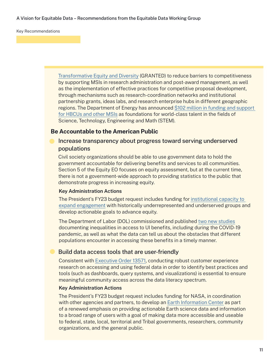A Vision for Equitable Data – Recommendations from the Equitable Data Working Group

Key Recommendations

[Transformative Equity and Diversity](https://www.nsf.gov/about/budget/fy2023/index.jsp) (GRANTED) to reduce barriers to competitiveness by supporting MSIs in research administration and post-award management, as well as the implementation of effective practices for competitive proposal development, through mechanisms such as research-coordination networks and institutional partnership grants, ideas labs, and research enterprise hubs in different geographic regions. The Department of Energy has announced \$102 million in funding and support [for HBCUs and other MSIs](https://www.energy.gov/articles/doe-releases-new-equity-action-plan-unveils-investments-strengthen-hbcu-opportunities) as foundations for world-class talent in the fields of Science, Technology, Engineering and Math (STEM).

## **Be Accountable to the American Public**

## Increase transparency about progress toward serving underserved populations

Civil society organizations should be able to use government data to hold the government accountable for delivering benefits and services to all communities. Section 5 of the Equity EO focuses on equity assessment, but at the current time, there is not a government-wide approach to providing statistics to the public that demonstrate progress in increasing equity.

#### **Key Administration Actions**

The President's FY23 budget request includes funding for [institutional capacity to](https://home.treasury.gov/system/files/266/COMBINED-CJ-Web-Version-FY-2023.pdf)  [expand engagement](https://home.treasury.gov/system/files/266/COMBINED-CJ-Web-Version-FY-2023.pdf) with historically underrepresented and underserved groups and develop actionable goals to advance equity.

The Department of Labor (DOL) commissioned and published [two new studies](https://www.dol.gov/agencies/oasp/evaluation/completed-reports/summer-data-challenge-equity-underserved-communities) documenting inequalities in access to UI benefits, including during the COVID-19 pandemic, as well as what the data can tell us about the obstacles that different populations encounter in accessing these benefits in a timely manner.

## Build data access tools that are user-friendly

Consistent with [Executive Order 13571,](https://www.whitehouse.gov/briefing-room/presidential-actions/2021/12/13/executive-order-on-transforming-federal-customer-experience-and-service-delivery-to-rebuild-trust-in-government/) conducting robust customer experience research on accessing and using federal data in order to identify best practices and tools (such as dashboards, query systems, and visualizations) is essential to ensure meaningful community access across the data literacy spectrum.

#### **Key Administration Actions**

The President's FY23 budget request includes funding for NASA, in coordination with other agencies and partners, to develop an [Earth Information Center](https://www.nasa.gov/sites/default/files/atoms/files/fy23_nasa_budget_request_full_opt.pdf) as part of a renewed emphasis on providing actionable Earth science data and information to a broad range of users with a goal of making data more accessible and useable to federal, state, local, territorial and Tribal governments, researchers, community organizations, and the general public.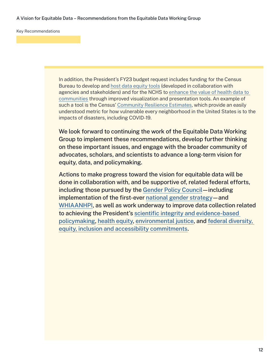In addition, the President's FY23 budget request includes funding for the Census Bureau to develop and [host data equity tools](https://www.commerce.gov/sites/default/files/2022-03/FY2023-Census-Congressional-Budget-Submission.pdf) (developed in collaboration with agencies and stakeholders) and for the NCHS to [enhance the value of health data to](https://www.whitehouse.gov/wp-content/uploads/2022/03/ap_15_statistics_fy2023.pdf)  [communities](https://www.whitehouse.gov/wp-content/uploads/2022/03/ap_15_statistics_fy2023.pdf) through improved visualization and presentation tools. An example of such a tool is the Census' [Community Resilience Estimates](https://experience.arcgis.com/experience/76f53fb6758b49dc87ef47687f9476cf), which provide an easily understood metric for how vulnerable every neighborhood in the United States is to the impacts of disasters, including COVID-19.

We look forward to continuing the work of the Equitable Data Working Group to implement these recommendations, develop further thinking on these important issues, and engage with the broader community of advocates, scholars, and scientists to advance a long-term vision for equity, data, and policymaking.

Actions to make progress toward the vision for equitable data will be done in collaboration with, and be supportive of, related federal efforts, including those pursued by the [Gender Policy Council—](https://www.whitehouse.gov/briefing-room/presidential-actions/2021/03/08/executive-order-on-establishment-of-the-white-house-gender-policy-council/)including implementation of the first-ever [national gender strategy—](https://www.whitehouse.gov/wp-content/uploads/2021/10/National-Strategy-on-Gender-Equity-and-Equality.pdf)and [WHIAANHPI,](https://www.whitehouse.gov/briefing-room/statements-releases/2021/05/28/fact-sheet-president-biden-establishes-the-white-house-initiative-on-asian-americans-native-hawaiians-and-pacific-islanders/) as well as work underway to improve data collection related to achieving the President's [scientific integrity and evidence-based](https://www.whitehouse.gov/briefing-room/presidential-actions/2021/01/27/memorandum-on-restoring-trust-in-government-through-scientific-integrity-and-evidence-based-policymaking/)  [policymaking,](https://www.whitehouse.gov/briefing-room/presidential-actions/2021/01/27/memorandum-on-restoring-trust-in-government-through-scientific-integrity-and-evidence-based-policymaking/) [health equity,](https://www.minorityhealth.hhs.gov/assets/pdf/HETF_Report_508_102821_9am_508Team%20WIP11-compressed.pdf) [environmental justice,](https://www.whitehouse.gov/briefing-room/presidential-actions/2021/01/27/executive-order-on-tackling-the-climate-crisis-at-home-and-abroad/) and [federal diversity,](https://www.whitehouse.gov/briefing-room/presidential-actions/2021/06/25/executive-order-on-diversity-equity-inclusion-and-accessibility-in-the-federal-workforce/)  [equity, inclusion and accessibility commitments](https://www.whitehouse.gov/briefing-room/presidential-actions/2021/06/25/executive-order-on-diversity-equity-inclusion-and-accessibility-in-the-federal-workforce/).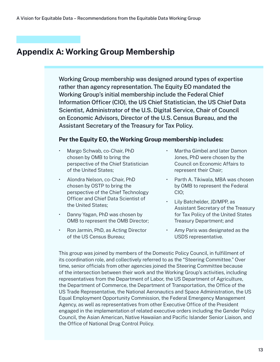# **Appendix A: Working Group Membership**

Working Group membership was designed around types of expertise rather than agency representation. The Equity EO mandated the Working Group's initial membership include the Federal Chief Information Officer (CIO), the US Chief Statistician, the US Chief Data Scientist, Administrator of the U.S. Digital Service, Chair of Council on Economic Advisors, Director of the U.S. Census Bureau, and the Assistant Secretary of the Treasury for Tax Policy.

# **Per the Equity EO, the Working Group membership includes:**

- Margo Schwab, co-Chair, PhD chosen by OMB to bring the perspective of the Chief Statistician of the United States;
- Alondra Nelson, co-Chair, PhD chosen by OSTP to bring the perspective of the Chief Technology Officer and Chief Data Scientist of the United States;
- Danny Yagan, PhD was chosen by OMB to represent the OMB Director;
- Ron Jarmin, PhD, as Acting Director of the US Census Bureau;
- Martha Gimbel and later Damon Jones, PhD were chosen by the Council on Economic Affairs to represent their Chair;
- Parth A. Tikiwala, MBA was chosen by OMB to represent the Federal CIO;
- Lily Batchelder, JD/MPP, as Assistant Secretary of the Treasury for Tax Policy of the United States Treasury Department; and
- Amy Paris was designated as the USDS representative.

This group was joined by members of the Domestic Policy Council, in fulfillment of its coordination role, and collectively referred to as the "Steering Committee." Over time, senior officials from other agencies joined the Steering Committee because of the intersection between their work and the Working Group's activities, including representatives from the Department of Labor, the US Department of Agriculture, the Department of Commerce, the Department of Transportation, the Office of the US Trade Representative, the National Aeronautics and Space Administration, the US Equal Employment Opportunity Commission, the Federal Emergency Management Agency, as well as representatives from other Executive Office of the President engaged in the implementation of related executive orders including the Gender Policy Council, the Asian American, Native Hawaiian and Pacific Islander Senior Liaison, and the Office of National Drug Control Policy.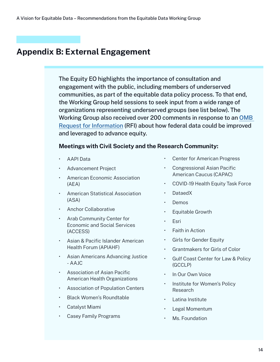# **Appendix B: External Engagement**

The Equity EO highlights the importance of consultation and engagement with the public, including members of underserved communities, as part of the equitable data policy process. To that end, the Working Group held sessions to seek input from a wide range of organizations representing underserved groups (see list below). The Working Group also received over 200 comments in response to an [OMB](https://www.regulations.gov/document/OMB-2021-0005-0001/comment)  [Request for Information](https://www.regulations.gov/document/OMB-2021-0005-0001/comment) (RFI) about how federal data could be improved and leveraged to advance equity.

# **Meetings with Civil Society and the Research Community:**

- AAPI Data
- Advancement Project
- American Economic Association (AEA)
- American Statistical Association (ASA)
- Anchor Collaborative
- Arab Community Center for Economic and Social Services (ACCESS)
- Asian & Pacific Islander American Health Forum (APIAHF)
- Asian Americans Advancing Justice - AAJC
- Association of Asian Pacific American Health Organizations
- Association of Population Centers
- Black Women's Roundtable
- Catalyst Miami
- Casey Family Programs
- Center for American Progress
- Congressional Asian Pacific American Caucus (CAPAC)
- COVID-19 Health Equity Task Force
- DataedX
- Demos
- Equitable Growth
- Esri
- Faith in Action
- Girls for Gender Equity
- Grantmakers for Girls of Color
- Gulf Coast Center for Law & Policy (GCCLP)
- In Our Own Voice
- Institute for Women's Policy Research
- Latina Institute
- Legal Momentum
- Ms. Foundation